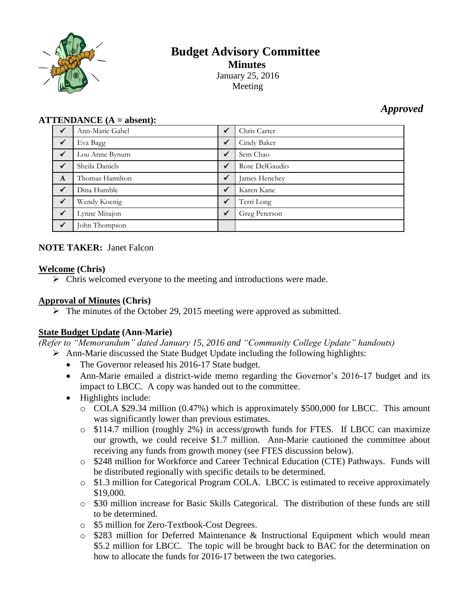

# **Budget Advisory Committee Minutes** January 25, 2016 Meeting

## *Approved*

#### **ATTENDANCE (A = absent):**

| $\checkmark$ | Ann-Marie Gabel | $\checkmark$ | Chris Carter   |
|--------------|-----------------|--------------|----------------|
| $\checkmark$ | Eva Bagg        | ✓            | Cindy Baker    |
| $\checkmark$ | Lou Anne Bynum  | $\checkmark$ | Sem Chao       |
| $\sqrt{}$    | Sheila Daniels  | $\checkmark$ | Rose DelGaudio |
| $\mathbf{A}$ | Thomas Hamilton | $\checkmark$ | James Henchey  |
| $\checkmark$ | Dina Humble     | $\checkmark$ | Karen Kane     |
| $\checkmark$ | Wendy Koenig    | $\checkmark$ | Terri Long     |
| $\checkmark$ | Lynne Misajon   | $\checkmark$ | Greg Peterson  |
| ✓            | John Thompson   |              |                |

## **NOTE TAKER:** Janet Falcon

#### **Welcome (Chris)**

 $\triangleright$  Chris welcomed everyone to the meeting and introductions were made.

## **Approval of Minutes (Chris)**

 $\triangleright$  The minutes of the October 29, 2015 meeting were approved as submitted.

## **State Budget Update (Ann-Marie)**

*(Refer to "Memorandum" dated January 15, 2016 and "Community College Update" handouts)*

- Ann-Marie discussed the State Budget Update including the following highlights:
	- The Governor released his 2016-17 State budget.
	- Ann-Marie emailed a district-wide memo regarding the Governor's 2016-17 budget and its impact to LBCC. A copy was handed out to the committee.
	- Highlights include:
		- o COLA \$29.34 million (0.47%) which is approximately \$500,000 for LBCC. This amount was significantly lower than previous estimates.
		- o \$114.7 million (roughly 2%) in access/growth funds for FTES. If LBCC can maximize our growth, we could receive \$1.7 million. Ann-Marie cautioned the committee about receiving any funds from growth money (see FTES discussion below).
		- o \$248 million for Workforce and Career Technical Education (CTE) Pathways. Funds will be distributed regionally with specific details to be determined.
		- o \$1.3 million for Categorical Program COLA. LBCC is estimated to receive approximately \$19,000.
		- o \$30 million increase for Basic Skills Categorical. The distribution of these funds are still to be determined.
		- o \$5 million for Zero-Textbook-Cost Degrees.
		- o \$283 million for Deferred Maintenance & Instructional Equipment which would mean \$5.2 million for LBCC. The topic will be brought back to BAC for the determination on how to allocate the funds for 2016-17 between the two categories.